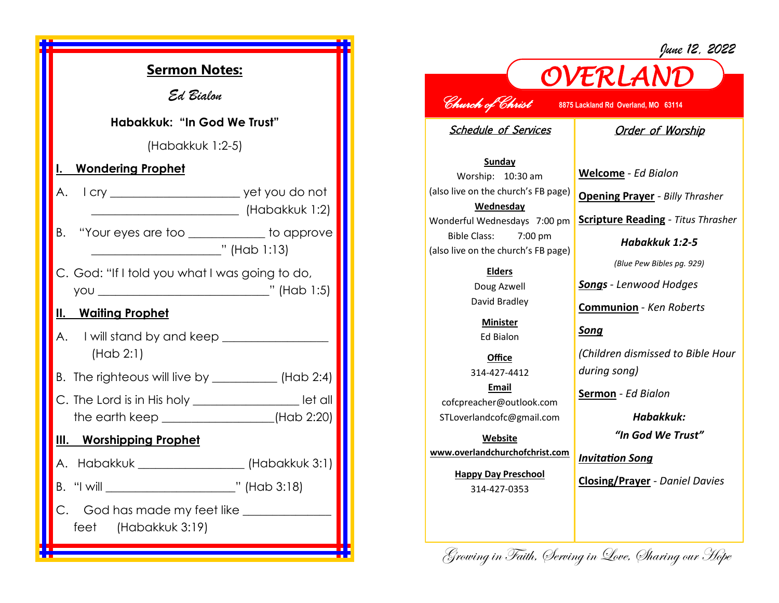

## *OVERLAND June 12, 2022 Church of Christ* **8875 Lackland Rd Overland, MO 63114**  Schedule of Services **Sunday** Worship: 10:30 am (also live on the church's FB page) **Wednesday** Wonderful Wednesdays 7:00 pm Bible Class: 7:00 pm (also live on the church's FB page) **Elders** Doug Azwell David Bradley **Minister** Ed Bialon **Office** 314-427-4412 **Email** cofcpreacher@outlook.com STLoverlandcofc@gmail.com **Website www.overlandchurchofchrist.com Happy Day Preschool** 314-427-0353 Order of Worship **Welcome** *- Ed Bialon* **Opening Prayer** *- Billy Thrasher* **Scripture Reading** *- Titus Thrasher Habakkuk 1:2-5 (Blue Pew Bibles pg. 929) Songs - Lenwood Hodges* **Communion** *- Ken Roberts Song (Children dismissed to Bible Hour during song)* **Sermon** *- Ed Bialon Habakkuk: "In God We Trust" Invitation Song* **Closing/Prayer** *- Daniel Davies*

Growing in Faith, Serving in Love, Sharing our Hope